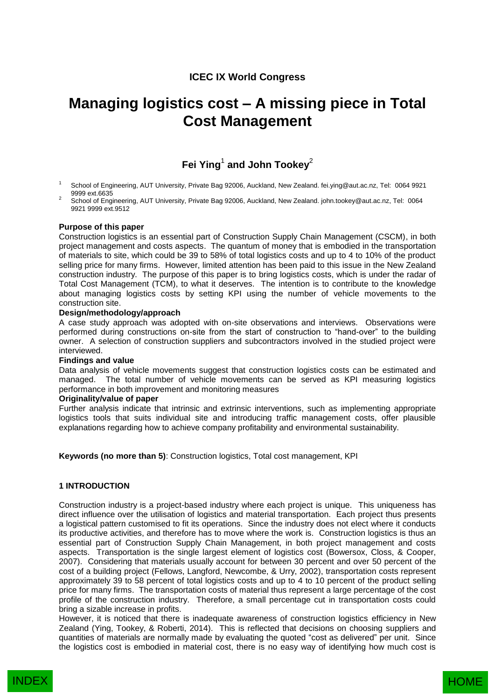### **ICEC IX World Congress**

# **Managing logistics cost – A missing piece in Total Cost Management**

## **Fei Ying**<sup>1</sup> **and John Tookey**<sup>2</sup>

- <sup>1</sup> School of Engineering, AUT University, Private Bag 92006, Auckland, New Zealand. fei.ying@aut.ac.nz, Tel: 0064 9921 9999 ext.6635
- <sup>2</sup> School of Engineering, AUT University, Private Bag 92006, Auckland, New Zealand. john.tookey@aut.ac.nz, Tel: 0064 9921 9999 ext.9512

#### **Purpose of this paper**

Construction logistics is an essential part of Construction Supply Chain Management (CSCM), in both project management and costs aspects. The quantum of money that is embodied in the transportation of materials to site, which could be 39 to 58% of total logistics costs and up to 4 to 10% of the product selling price for many firms. However, limited attention has been paid to this issue in the New Zealand construction industry. The purpose of this paper is to bring logistics costs, which is under the radar of Total Cost Management (TCM), to what it deserves. The intention is to contribute to the knowledge about managing logistics costs by setting KPI using the number of vehicle movements to the construction site.

#### **Design/methodology/approach**

A case study approach was adopted with on-site observations and interviews. Observations were performed during constructions on-site from the start of construction to "hand-over" to the building owner. A selection of construction suppliers and subcontractors involved in the studied project were interviewed.

#### **Findings and value**

Data analysis of vehicle movements suggest that construction logistics costs can be estimated and managed. The total number of vehicle movements can be served as KPI measuring logistics performance in both improvement and monitoring measures

#### **Originality/value of paper**

Further analysis indicate that intrinsic and extrinsic interventions, such as implementing appropriate logistics tools that suits individual site and introducing traffic management costs, offer plausible explanations regarding how to achieve company profitability and environmental sustainability.

**Keywords (no more than 5)**: Construction logistics, Total cost management, KPI

#### **1 INTRODUCTION**

Construction industry is a project-based industry where each project is unique. This uniqueness has direct influence over the utilisation of logistics and material transportation. Each project thus presents a logistical pattern customised to fit its operations. Since the industry does not elect where it conducts its productive activities, and therefore has to move where the work is. Construction logistics is thus an essential part of Construction Supply Chain Management, in both project management and costs aspects. Transportation is the single largest element of logistics cost (Bowersox, Closs, & Cooper, 2007). Considering that materials usually account for between 30 percent and over 50 percent of the cost of a building project (Fellows, Langford, Newcombe, & Urry, 2002), transportation costs represent approximately 39 to 58 percent of total logistics costs and up to 4 to 10 percent of the product selling price for many firms. The transportation costs of material thus represent a large percentage of the cost profile of the construction industry. Therefore, a small percentage cut in transportation costs could bring a sizable increase in profits.

However, it is noticed that there is inadequate awareness of construction logistics efficiency in New Zealand (Ying, Tookey, & Roberti, 2014). This is reflected that decisions on choosing suppliers and quantities of materials are normally made by evaluating the quoted "cost as delivered" per unit. Since the logistics cost is embodied in material cost, there is no easy way of identifying how much cost is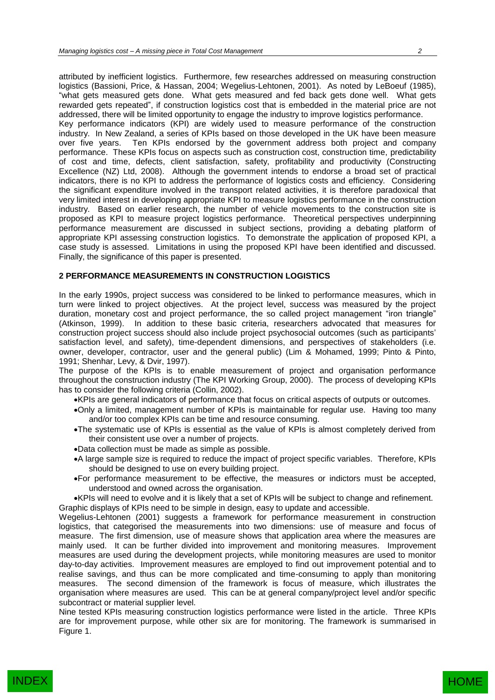attributed by inefficient logistics. Furthermore, few researches addressed on measuring construction logistics (Bassioni, Price, & Hassan, 2004; Wegelius-Lehtonen, 2001). As noted by LeBoeuf (1985), "what gets measured gets done. What gets measured and fed back gets done well. What gets rewarded gets repeated", if construction logistics cost that is embedded in the material price are not addressed, there will be limited opportunity to engage the industry to improve logistics performance.

Key performance indicators (KPI) are widely used to measure performance of the construction industry. In New Zealand, a series of KPIs based on those developed in the UK have been measure over five years. Ten KPIs endorsed by the government address both project and company performance. These KPIs focus on aspects such as construction cost, construction time, predictability of cost and time, defects, client satisfaction, safety, profitability and productivity (Constructing Excellence (NZ) Ltd, 2008). Although the government intends to endorse a broad set of practical indicators, there is no KPI to address the performance of logistics costs and efficiency. Considering the significant expenditure involved in the transport related activities, it is therefore paradoxical that very limited interest in developing appropriate KPI to measure logistics performance in the construction industry. Based on earlier research, the number of vehicle movements to the construction site is proposed as KPI to measure project logistics performance. Theoretical perspectives underpinning performance measurement are discussed in subject sections, providing a debating platform of appropriate KPI assessing construction logistics. To demonstrate the application of proposed KPI, a case study is assessed. Limitations in using the proposed KPI have been identified and discussed. Finally, the significance of this paper is presented.

#### **2 PERFORMANCE MEASUREMENTS IN CONSTRUCTION LOGISTICS**

In the early 1990s, project success was considered to be linked to performance measures, which in turn were linked to project objectives. At the project level, success was measured by the project duration, monetary cost and project performance, the so called project management "iron triangle" (Atkinson, 1999). In addition to these basic criteria, researchers advocated that measures for construction project success should also include project psychosocial outcomes (such as participants' satisfaction level, and safety), time-dependent dimensions, and perspectives of stakeholders (i.e. owner, developer, contractor, user and the general public) (Lim & Mohamed, 1999; Pinto & Pinto, 1991; Shenhar, Levy, & Dvir, 1997).

The purpose of the KPIs is to enable measurement of project and organisation performance throughout the construction industry (The KPI Working Group, 2000). The process of developing KPIs has to consider the following criteria (Collin, 2002).

- KPIs are general indicators of performance that focus on critical aspects of outputs or outcomes.
- Only a limited, management number of KPIs is maintainable for regular use. Having too many and/or too complex KPIs can be time and resource consuming.
- The systematic use of KPIs is essential as the value of KPIs is almost completely derived from their consistent use over a number of projects.
- Data collection must be made as simple as possible.
- A large sample size is required to reduce the impact of project specific variables. Therefore, KPIs should be designed to use on every building project.
- For performance measurement to be effective, the measures or indictors must be accepted, understood and owned across the organisation.

KPIs will need to evolve and it is likely that a set of KPIs will be subject to change and refinement. Graphic displays of KPIs need to be simple in design, easy to update and accessible.

Wegelius-Lehtonen (2001) suggests a framework for performance measurement in construction logistics, that categorised the measurements into two dimensions: use of measure and focus of measure. The first dimension, use of measure shows that application area where the measures are mainly used. It can be further divided into improvement and monitoring measures. Improvement measures are used during the development projects, while monitoring measures are used to monitor day-to-day activities. Improvement measures are employed to find out improvement potential and to realise savings, and thus can be more complicated and time-consuming to apply than monitoring measures. The second dimension of the framework is focus of measure, which illustrates the organisation where measures are used. This can be at general company/project level and/or specific subcontract or material supplier level.

Nine tested KPIs measuring construction logistics performance were listed in the article. Three KPIs are for improvement purpose, while other six are for monitoring. The framework is summarised in Figure 1.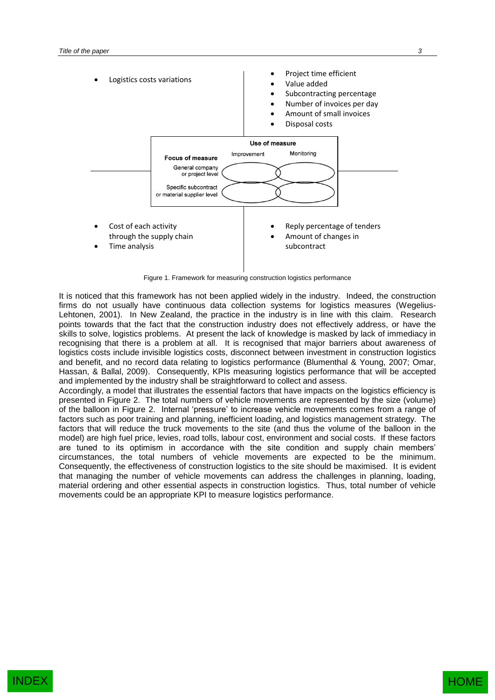

Figure 1. Framework for measuring construction logistics performance

It is noticed that this framework has not been applied widely in the industry. Indeed, the construction firms do not usually have continuous data collection systems for logistics measures (Wegelius-Lehtonen, 2001). In New Zealand, the practice in the industry is in line with this claim. Research points towards that the fact that the construction industry does not effectively address, or have the skills to solve, logistics problems. At present the lack of knowledge is masked by lack of immediacy in recognising that there is a problem at all. It is recognised that major barriers about awareness of logistics costs include invisible logistics costs, disconnect between investment in construction logistics and benefit, and no record data relating to logistics performance (Blumenthal & Young, 2007; Omar, Hassan, & Ballal, 2009). Consequently, KPIs measuring logistics performance that will be accepted and implemented by the industry shall be straightforward to collect and assess.

Accordingly, a model that illustrates the essential factors that have impacts on the logistics efficiency is presented in Figure 2. The total numbers of vehicle movements are represented by the size (volume) of the balloon in Figure 2. Internal 'pressure' to increase vehicle movements comes from a range of factors such as poor training and planning, inefficient loading, and logistics management strategy. The factors that will reduce the truck movements to the site (and thus the volume of the balloon in the model) are high fuel price, levies, road tolls, labour cost, environment and social costs. If these factors are tuned to its optimism in accordance with the site condition and supply chain members' circumstances, the total numbers of vehicle movements are expected to be the minimum. Consequently, the effectiveness of construction logistics to the site should be maximised. It is evident that managing the number of vehicle movements can address the challenges in planning, loading, material ordering and other essential aspects in construction logistics. Thus, total number of vehicle movements could be an appropriate KPI to measure logistics performance.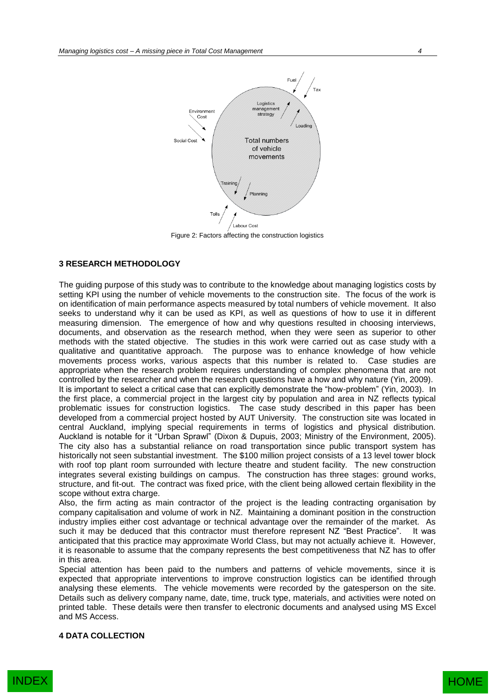

Figure 2: Factors affecting the construction logistics

#### **3 RESEARCH METHODOLOGY**

The guiding purpose of this study was to contribute to the knowledge about managing logistics costs by setting KPI using the number of vehicle movements to the construction site. The focus of the work is on identification of main performance aspects measured by total numbers of vehicle movement. It also seeks to understand why it can be used as KPI, as well as questions of how to use it in different measuring dimension. The emergence of how and why questions resulted in choosing interviews, documents, and observation as the research method, when they were seen as superior to other methods with the stated objective. The studies in this work were carried out as case study with a qualitative and quantitative approach. The purpose was to enhance knowledge of how vehicle movements process works, various aspects that this number is related to. Case studies are appropriate when the research problem requires understanding of complex phenomena that are not controlled by the researcher and when the research questions have a how and why nature (Yin, 2009). It is important to select a critical case that can explicitly demonstrate the "how-problem" (Yin, 2003). In the first place, a commercial project in the largest city by population and area in NZ reflects typical problematic issues for construction logistics. The case study described in this paper has been developed from a commercial project hosted by AUT University. The construction site was located in central Auckland, implying special requirements in terms of logistics and physical distribution. Auckland is notable for it "Urban Sprawl" (Dixon & Dupuis, 2003; Ministry of the Environment, 2005). The city also has a substantial reliance on road transportation since public transport system has historically not seen substantial investment. The \$100 million project consists of a 13 level tower block with roof top plant room surrounded with lecture theatre and student facility. The new construction integrates several existing buildings on campus. The construction has three stages: ground works, structure, and fit-out. The contract was fixed price, with the client being allowed certain flexibility in the scope without extra charge.

Also, the firm acting as main contractor of the project is the leading contracting organisation by company capitalisation and volume of work in NZ. Maintaining a dominant position in the construction industry implies either cost advantage or technical advantage over the remainder of the market. As such it may be deduced that this contractor must therefore represent NZ "Best Practice". It was anticipated that this practice may approximate World Class, but may not actually achieve it. However, it is reasonable to assume that the company represents the best competitiveness that NZ has to offer in this area.

Special attention has been paid to the numbers and patterns of vehicle movements, since it is expected that appropriate interventions to improve construction logistics can be identified through analysing these elements. The vehicle movements were recorded by the gatesperson on the site. Details such as delivery company name, date, time, truck type, materials, and activities were noted on printed table. These details were then transfer to electronic documents and analysed using MS Excel and MS Access.

#### **4 DATA COLLECTION**

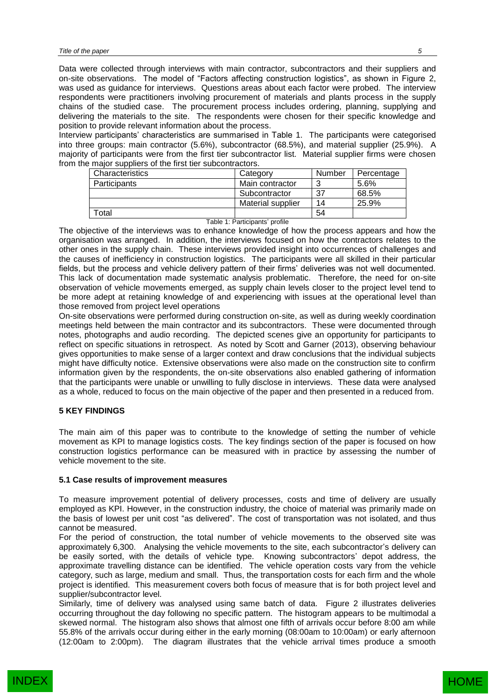Data were collected through interviews with main contractor, subcontractors and their suppliers and on-site observations. The model of "Factors affecting construction logistics", as shown in Figure 2, was used as guidance for interviews. Questions areas about each factor were probed. The interview respondents were practitioners involving procurement of materials and plants process in the supply chains of the studied case. The procurement process includes ordering, planning, supplying and delivering the materials to the site. The respondents were chosen for their specific knowledge and position to provide relevant information about the process.

Interview participants' characteristics are summarised in Table 1. The participants were categorised into three groups: main contractor (5.6%), subcontractor (68.5%), and material supplier (25.9%). A majority of participants were from the first tier subcontractor list. Material supplier firms were chosen from the major suppliers of the first tier subcontractors.

| Characteristics   | Category                 | Number | Percentage |
|-------------------|--------------------------|--------|------------|
| Participants      | Main contractor          |        | $5.6\%$    |
|                   | Subcontractor            | 37     | 68.5%      |
|                   | <b>Material supplier</b> | 14     | 25.9%      |
| otal <sup>-</sup> |                          | 54     |            |

Table 1: Participants' profile

The objective of the interviews was to enhance knowledge of how the process appears and how the organisation was arranged. In addition, the interviews focused on how the contractors relates to the other ones in the supply chain. These interviews provided insight into occurrences of challenges and the causes of inefficiency in construction logistics. The participants were all skilled in their particular fields, but the process and vehicle delivery pattern of their firms' deliveries was not well documented. This lack of documentation made systematic analysis problematic. Therefore, the need for on-site observation of vehicle movements emerged, as supply chain levels closer to the project level tend to be more adept at retaining knowledge of and experiencing with issues at the operational level than those removed from project level operations

On-site observations were performed during construction on-site, as well as during weekly coordination meetings held between the main contractor and its subcontractors. These were documented through notes, photographs and audio recording. The depicted scenes give an opportunity for participants to reflect on specific situations in retrospect. As noted by Scott and Garner (2013), observing behaviour gives opportunities to make sense of a larger context and draw conclusions that the individual subjects might have difficulty notice. Extensive observations were also made on the construction site to confirm information given by the respondents, the on-site observations also enabled gathering of information that the participants were unable or unwilling to fully disclose in interviews. These data were analysed as a whole, reduced to focus on the main objective of the paper and then presented in a reduced from.

#### **5 KEY FINDINGS**

The main aim of this paper was to contribute to the knowledge of setting the number of vehicle movement as KPI to manage logistics costs. The key findings section of the paper is focused on how construction logistics performance can be measured with in practice by assessing the number of vehicle movement to the site.

#### **5.1 Case results of improvement measures**

To measure improvement potential of delivery processes, costs and time of delivery are usually employed as KPI. However, in the construction industry, the choice of material was primarily made on the basis of lowest per unit cost "as delivered". The cost of transportation was not isolated, and thus cannot be measured.

For the period of construction, the total number of vehicle movements to the observed site was approximately 6,300. Analysing the vehicle movements to the site, each subcontractor's delivery can be easily sorted, with the details of vehicle type. Knowing subcontractors' depot address, the approximate travelling distance can be identified. The vehicle operation costs vary from the vehicle category, such as large, medium and small. Thus, the transportation costs for each firm and the whole project is identified. This measurement covers both focus of measure that is for both project level and supplier/subcontractor level.

Similarly, time of delivery was analysed using same batch of data. Figure 2 illustrates deliveries occurring throughout the day following no specific pattern. The histogram appears to be multimodal a skewed normal. The histogram also shows that almost one fifth of arrivals occur before 8:00 am while 55.8% of the arrivals occur during either in the early morning (08:00am to 10:00am) or early afternoon (12:00am to 2:00pm). The diagram illustrates that the vehicle arrival times produce a smooth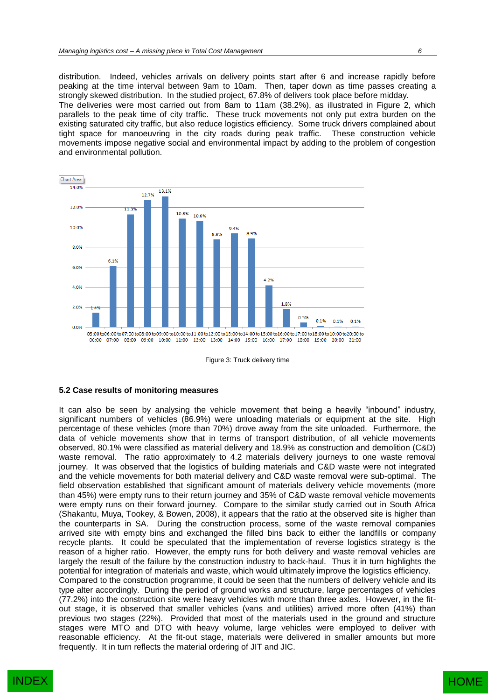distribution. Indeed, vehicles arrivals on delivery points start after 6 and increase rapidly before peaking at the time interval between 9am to 10am. Then, taper down as time passes creating a strongly skewed distribution. In the studied project, 67.8% of delivers took place before midday. The deliveries were most carried out from 8am to 11am (38.2%), as illustrated in Figure 2, which parallels to the peak time of city traffic. These truck movements not only put extra burden on the existing saturated city traffic, but also reduce logistics efficiency. Some truck drivers complained about tight space for manoeuvring in the city roads during peak traffic. These construction vehicle movements impose negative social and environmental impact by adding to the problem of congestion and environmental pollution.



Figure 3: Truck delivery time

#### **5.2 Case results of monitoring measures**

It can also be seen by analysing the vehicle movement that being a heavily "inbound" industry, significant numbers of vehicles (86.9%) were unloading materials or equipment at the site. High percentage of these vehicles (more than 70%) drove away from the site unloaded. Furthermore, the data of vehicle movements show that in terms of transport distribution, of all vehicle movements observed, 80.1% were classified as material delivery and 18.9% as construction and demolition (C&D) waste removal. The ratio approximately to 4.2 materials delivery journeys to one waste removal journey. It was observed that the logistics of building materials and C&D waste were not integrated and the vehicle movements for both material delivery and C&D waste removal were sub-optimal. The field observation established that significant amount of materials delivery vehicle movements (more than 45%) were empty runs to their return journey and 35% of C&D waste removal vehicle movements were empty runs on their forward journey. Compare to the similar study carried out in South Africa (Shakantu, Muya, Tookey, & Bowen, 2008), it appears that the ratio at the observed site is higher than the counterparts in SA. During the construction process, some of the waste removal companies arrived site with empty bins and exchanged the filled bins back to either the landfills or company recycle plants. It could be speculated that the implementation of reverse logistics strategy is the reason of a higher ratio. However, the empty runs for both delivery and waste removal vehicles are largely the result of the failure by the construction industry to back-haul. Thus it in turn highlights the potential for integration of materials and waste, which would ultimately improve the logistics efficiency. Compared to the construction programme, it could be seen that the numbers of delivery vehicle and its type alter accordingly. During the period of ground works and structure, large percentages of vehicles (77.2%) into the construction site were heavy vehicles with more than three axles. However, in the fitout stage, it is observed that smaller vehicles (vans and utilities) arrived more often (41%) than previous two stages (22%). Provided that most of the materials used in the ground and structure stages were MTO and DTO with heavy volume, large vehicles were employed to deliver with reasonable efficiency. At the fit-out stage, materials were delivered in smaller amounts but more frequently. It in turn reflects the material ordering of JIT and JIC.



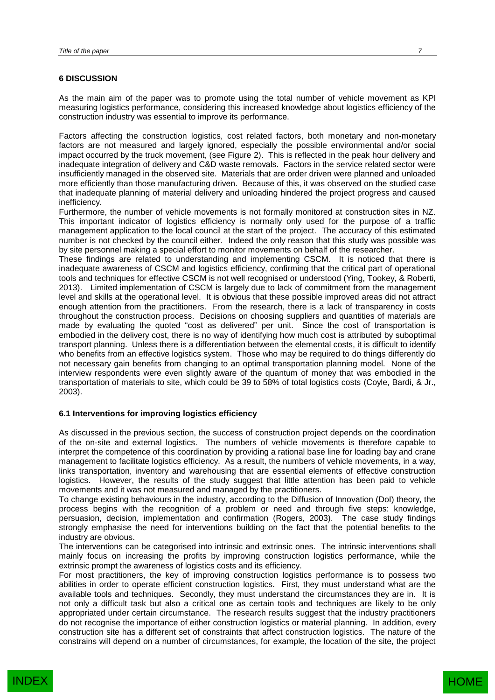#### **6 DISCUSSION**

As the main aim of the paper was to promote using the total number of vehicle movement as KPI measuring logistics performance, considering this increased knowledge about logistics efficiency of the construction industry was essential to improve its performance.

Factors affecting the construction logistics, cost related factors, both monetary and non-monetary factors are not measured and largely ignored, especially the possible environmental and/or social impact occurred by the truck movement, (see Figure 2). This is reflected in the peak hour delivery and inadequate integration of delivery and C&D waste removals. Factors in the service related sector were insufficiently managed in the observed site. Materials that are order driven were planned and unloaded more efficiently than those manufacturing driven. Because of this, it was observed on the studied case that inadequate planning of material delivery and unloading hindered the project progress and caused inefficiency.

Furthermore, the number of vehicle movements is not formally monitored at construction sites in NZ. This important indicator of logistics efficiency is normally only used for the purpose of a traffic management application to the local council at the start of the project. The accuracy of this estimated number is not checked by the council either. Indeed the only reason that this study was possible was by site personnel making a special effort to monitor movements on behalf of the researcher.

These findings are related to understanding and implementing CSCM. It is noticed that there is inadequate awareness of CSCM and logistics efficiency, confirming that the critical part of operational tools and techniques for effective CSCM is not well recognised or understood (Ying, Tookey, & Roberti, 2013). Limited implementation of CSCM is largely due to lack of commitment from the management level and skills at the operational level. It is obvious that these possible improved areas did not attract enough attention from the practitioners. From the research, there is a lack of transparency in costs throughout the construction process. Decisions on choosing suppliers and quantities of materials are made by evaluating the quoted "cost as delivered" per unit. Since the cost of transportation is embodied in the delivery cost, there is no way of identifying how much cost is attributed by suboptimal transport planning. Unless there is a differentiation between the elemental costs, it is difficult to identify who benefits from an effective logistics system. Those who may be required to do things differently do not necessary gain benefits from changing to an optimal transportation planning model. None of the interview respondents were even slightly aware of the quantum of money that was embodied in the transportation of materials to site, which could be 39 to 58% of total logistics costs (Coyle, Bardi, & Jr., 2003).

#### **6.1 Interventions for improving logistics efficiency**

As discussed in the previous section, the success of construction project depends on the coordination of the on-site and external logistics. The numbers of vehicle movements is therefore capable to interpret the competence of this coordination by providing a rational base line for loading bay and crane management to facilitate logistics efficiency. As a result, the numbers of vehicle movements, in a way, links transportation, inventory and warehousing that are essential elements of effective construction logistics. However, the results of the study suggest that little attention has been paid to vehicle movements and it was not measured and managed by the practitioners.

To change existing behaviours in the industry, according to the Diffusion of Innovation (DoI) theory, the process begins with the recognition of a problem or need and through five steps: knowledge, persuasion, decision, implementation and confirmation (Rogers, 2003). The case study findings strongly emphasise the need for interventions building on the fact that the potential benefits to the industry are obvious.

The interventions can be categorised into intrinsic and extrinsic ones. The intrinsic interventions shall mainly focus on increasing the profits by improving construction logistics performance, while the extrinsic prompt the awareness of logistics costs and its efficiency.

For most practitioners, the key of improving construction logistics performance is to possess two abilities in order to operate efficient construction logistics. First, they must understand what are the available tools and techniques. Secondly, they must understand the circumstances they are in. It is not only a difficult task but also a critical one as certain tools and techniques are likely to be only appropriated under certain circumstance. The research results suggest that the industry practitioners do not recognise the importance of either construction logistics or material planning. In addition, every construction site has a different set of constraints that affect construction logistics. The nature of the constrains will depend on a number of circumstances, for example, the location of the site, the project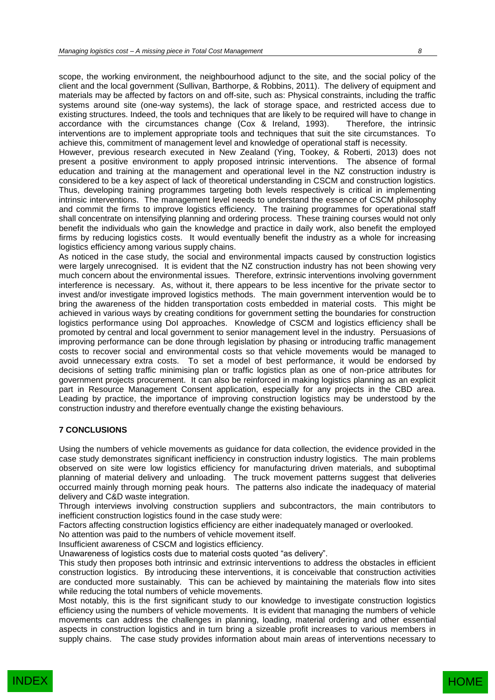scope, the working environment, the neighbourhood adjunct to the site, and the social policy of the client and the local government (Sullivan, Barthorpe, & Robbins, 2011). The delivery of equipment and materials may be affected by factors on and off-site, such as: Physical constraints, including the traffic systems around site (one-way systems), the lack of storage space, and restricted access due to existing structures. Indeed, the tools and techniques that are likely to be required will have to change in accordance with the circumstances change (Cox & Ireland, 1993). Therefore, the intrinsic interventions are to implement appropriate tools and techniques that suit the site circumstances. To achieve this, commitment of management level and knowledge of operational staff is necessity.

However, previous research executed in New Zealand (Ying, Tookey, & Roberti, 2013) does not present a positive environment to apply proposed intrinsic interventions. The absence of formal education and training at the management and operational level in the NZ construction industry is considered to be a key aspect of lack of theoretical understanding in CSCM and construction logistics. Thus, developing training programmes targeting both levels respectively is critical in implementing intrinsic interventions. The management level needs to understand the essence of CSCM philosophy and commit the firms to improve logistics efficiency. The training programmes for operational staff shall concentrate on intensifying planning and ordering process. These training courses would not only benefit the individuals who gain the knowledge and practice in daily work, also benefit the employed firms by reducing logistics costs. It would eventually benefit the industry as a whole for increasing logistics efficiency among various supply chains.

As noticed in the case study, the social and environmental impacts caused by construction logistics were largely unrecognised. It is evident that the NZ construction industry has not been showing very much concern about the environmental issues. Therefore, extrinsic interventions involving government interference is necessary. As, without it, there appears to be less incentive for the private sector to invest and/or investigate improved logistics methods. The main government intervention would be to bring the awareness of the hidden transportation costs embedded in material costs. This might be achieved in various ways by creating conditions for government setting the boundaries for construction logistics performance using DoI approaches. Knowledge of CSCM and logistics efficiency shall be promoted by central and local government to senior management level in the industry. Persuasions of improving performance can be done through legislation by phasing or introducing traffic management costs to recover social and environmental costs so that vehicle movements would be managed to avoid unnecessary extra costs. To set a model of best performance, it would be endorsed by decisions of setting traffic minimising plan or traffic logistics plan as one of non-price attributes for government projects procurement. It can also be reinforced in making logistics planning as an explicit part in Resource Management Consent application, especially for any projects in the CBD area. Leading by practice, the importance of improving construction logistics may be understood by the construction industry and therefore eventually change the existing behaviours.

#### **7 CONCLUSIONS**

Using the numbers of vehicle movements as guidance for data collection, the evidence provided in the case study demonstrates significant inefficiency in construction industry logistics. The main problems observed on site were low logistics efficiency for manufacturing driven materials, and suboptimal planning of material delivery and unloading. The truck movement patterns suggest that deliveries occurred mainly through morning peak hours. The patterns also indicate the inadequacy of material delivery and C&D waste integration.

Through interviews involving construction suppliers and subcontractors, the main contributors to inefficient construction logistics found in the case study were:

Factors affecting construction logistics efficiency are either inadequately managed or overlooked.

No attention was paid to the numbers of vehicle movement itself.

Insufficient awareness of CSCM and logistics efficiency.

Unawareness of logistics costs due to material costs quoted "as delivery".

This study then proposes both intrinsic and extrinsic interventions to address the obstacles in efficient construction logistics. By introducing these interventions, it is conceivable that construction activities are conducted more sustainably. This can be achieved by maintaining the materials flow into sites while reducing the total numbers of vehicle movements.

Most notably, this is the first significant study to our knowledge to investigate construction logistics efficiency using the numbers of vehicle movements. It is evident that managing the numbers of vehicle movements can address the challenges in planning, loading, material ordering and other essential aspects in construction logistics and in turn bring a sizeable profit increases to various members in supply chains. The case study provides information about main areas of interventions necessary to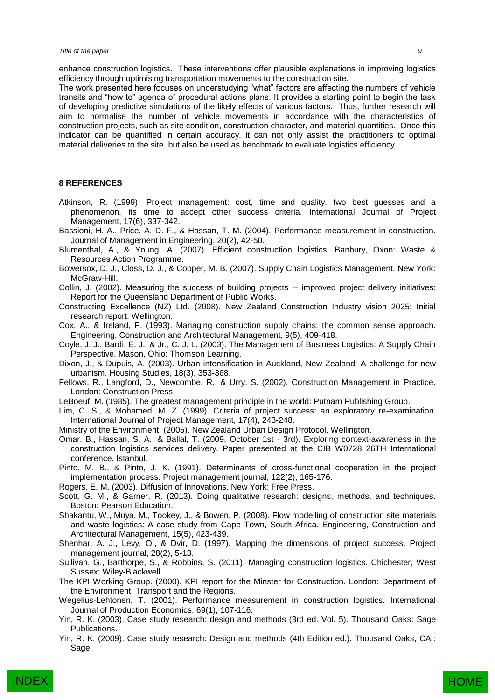enhance construction logistics. These interventions offer plausible explanations in improving logistics efficiency through optimising transportation movements to the construction site.

The work presented here focuses on understudying "what" factors are affecting the numbers of vehicle transits and "how to" agenda of procedural actions plans. It provides a starting point to begin the task of developing predictive simulations of the likely effects of various factors. Thus, further research will aim to normalise the number of vehicle movements in accordance with the characteristics of construction projects, such as site condition, construction character, and material quantities. Once this indicator can be quantified in certain accuracy, it can not only assist the practitioners to optimal material deliveries to the site, but also be used as benchmark to evaluate logistics efficiency.

#### **8 REFERENCES**

- Atkinson, R. (1999). Project management: cost, time and quality, two best guesses and a phenomenon, its time to accept other success criteria. International Journal of Project Management, 17(6), 337-342.
- Bassioni, H. A., Price, A. D. F., & Hassan, T. M. (2004). Performance measurement in construction. Journal of Management in Engineering, 20(2), 42-50.
- Blumenthal, A., & Young, A. (2007). Efficient construction logistics. Banbury, Oxon: Waste & Resources Action Programme.
- Bowersox, D. J., Closs, D. J., & Cooper, M. B. (2007). Supply Chain Logistics Management. New York: McGraw-Hill.
- Collin, J. (2002). Measuring the success of building projects -- improved project delivery initiatives: Report for the Queensland Department of Public Works.
- Constructing Excellence (NZ) Ltd. (2008). New Zealand Construction Industry vision 2025: Initial research report. Wellington.
- Cox, A., & Ireland, P. (1993). Managing construction supply chains: the common sense approach. Engineering, Construction and Architectural Management, 9(5), 409-418.
- Coyle, J. J., Bardi, E. J., & Jr., C. J. L. (2003). The Management of Business Logistics: A Supply Chain Perspective. Mason, Ohio: Thomson Learning.
- Dixon, J., & Dupuis, A. (2003). Urban intensification in Auckland, New Zealand: A challenge for new urbanism. Housing Studies, 18(3), 353-368.
- Fellows, R., Langford, D., Newcombe, R., & Urry, S. (2002). Construction Management in Practice. London: Construction Press.
- LeBoeuf, M. (1985). The greatest management principle in the world: Putnam Publishing Group.
- Lim, C. S., & Mohamed, M. Z. (1999). Criteria of project success: an exploratory re-examination. International Journal of Project Management, 17(4), 243-248.
- Ministry of the Environment. (2005). New Zealand Urban Design Protocol. Wellington.
- Omar, B., Hassan, S. A., & Ballal, T. (2009, October 1st 3rd). Exploring context-awareness in the construction logistics services delivery. Paper presented at the CIB W0728 26TH International conference, Istanbul.
- Pinto, M. B., & Pinto, J. K. (1991). Determinants of cross-functional cooperation in the project implementation process. Project management journal, 122(2), 165-176.
- Rogers, E. M. (2003). Diffusion of Innovations. New York: Free Press.
- Scott, G. M., & Garner, R. (2013). Doing qualitative research: designs, methods, and techniques. Boston: Pearson Education.
- Shakantu, W., Muya, M., Tookey, J., & Bowen, P. (2008). Flow modelling of construction site materials and waste logistics: A case study from Cape Town, South Africa. Engineering, Construction and Architectural Management, 15(5), 423-439.
- Shenhar, A. J., Levy, O., & Dvir, D. (1997). Mapping the dimensions of project success. Project management journal, 28(2), 5-13.

Sullivan, G., Barthorpe, S., & Robbins, S. (2011). Managing construction logistics. Chichester, West Sussex: Wiley-Blackwell.

The KPI Working Group. (2000). KPI report for the Minster for Construction. London: Department of the Environment, Transport and the Regions.

- Wegelius-Lehtonen, T. (2001). Performance measurement in construction logistics. International Journal of Production Economics, 69(1), 107-116.
- Yin, R. K. (2003). Case study research: design and methods (3rd ed. Vol. 5). Thousand Oaks: Sage Publications.
- Yin, R. K. (2009). Case study research: Design and methods (4th Edition ed.). Thousand Oaks, CA.: Sage.